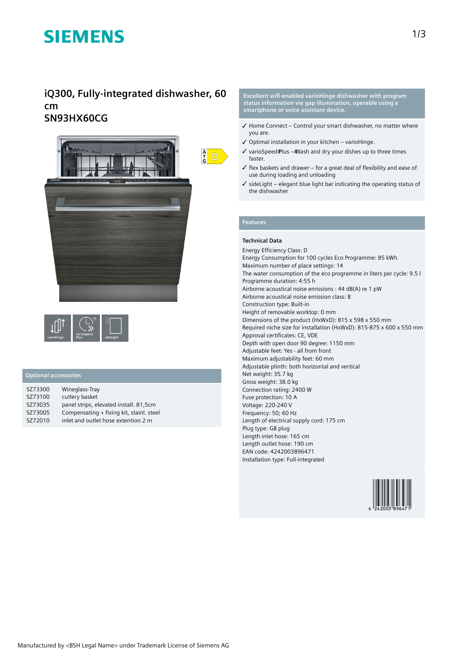# **SIEMENS**

## **iQ300, Fully-integrated dishwasher, 60 cm SN93HX60CG**



| varioHinge | varioSpeed<br>Plus | sideLight |
|------------|--------------------|-----------|
|------------|--------------------|-----------|

### **Optional accessories**

| SZ73300 | Wineglass-Tray                           |
|---------|------------------------------------------|
| SZ73100 | cutlery basket                           |
| SZ73035 | panel strips, elevated install. 81,5cm   |
| SZ73005 | Compensating + fixing kit, stainl. steel |
| SZ72010 | inlet and outlet hose extention 2 m      |

**Excellent wifi-enabled varioHinge dishwasher with program status information via gap illumination, operable using a smartphone or voice assistant device.**

- ✓ Home Connect Control your smart dishwasher, no matter where you are.
- ✓ Optimal installation in your kitchen varioHinge.
- $\checkmark$  varioSpeed Plus # Wash and dry your dishes up to three times faster.
- ✓ flex baskets and drawer for a great deal of flexibility and ease of use during loading and unloading
- ✓ sideLight elegant blue light bar indicating the operating status of the dishwasher

## **Features**

#### **Technical Data**

Energy Efficiency Class: D Energy Consumption for 100 cycles Eco Programme: 85 kWh Maximum number of place settings: 14 The water consumption of the eco programme in liters per cycle: 9.5 l Programme duration: 4:55 h Airborne acoustical noise emissions : 44 dB(A) re 1 pW Airborne acoustical noise emission class: B Construction type: Built-in Height of removable worktop: 0 mm Dimensions of the product (HxWxD): 815 x 598 x 550 mm Required niche size for installation (HxWxD): 815-875 x 600 x 550 mm Approval certificates: CE, VDE Depth with open door 90 degree: 1150 mm Adjustable feet: Yes - all from front Maximum adjustability feet: 60 mm Adjustable plinth: both horizontal and vertical Net weight: 35.7 kg Gross weight: 38.0 kg Connection rating: 2400 W Fuse protection: 10 A Voltage: 220-240 V Frequency: 50; 60 Hz Length of electrical supply cord: 175 cm Plug type: GB plug Length inlet hose: 165 cm Length outlet hose: 190 cm EAN code: 4242003896471 Installation type: Full-integrated

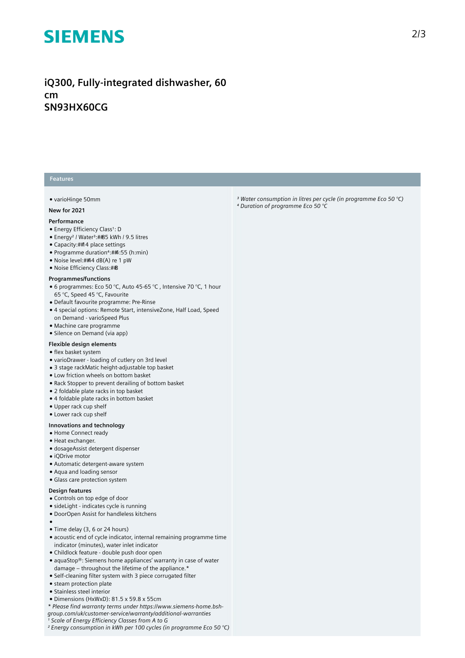# **SIEMENS**

## **iQ300, Fully-integrated dishwasher, 60 cm SN93HX60CG**

#### **Features**

#### ● varioHinge 50mm

#### **New for 2021**

#### **Performance**

- Energy Efficiency Class<sup>1</sup>: D
- Energy<sup>2</sup> / Water<sup>3</sup>:##85 kWh / 9.5 litres
- Capacity: ##4 place settings
- Programme duration⁴: 4:55 (h:min)
- Noise level:##4 dB(A) re 1 pW
- Noise Efficiency Class: ##B

#### **Programmes/functions**

- 6 programmes: Eco 50 °C, Auto 45-65 °C, Intensive 70 °C, 1 hour 65 °C, Speed 45 °C, Favourite
- Default favourite programme: Pre-Rinse
- 4 special options: Remote Start, intensiveZone, Half Load, Speed on Demand - varioSpeed Plus
- Machine care programme
- Silence on Demand (via app)

### **Flexible design elements**

- flex basket system
- varioDrawer loading of cutlery on 3rd level
- 3 stage rackMatic height-adjustable top basket
- Low friction wheels on bottom basket
- Rack Stopper to prevent derailing of bottom basket
- 2 foldable plate racks in top basket
- 4 foldable plate racks in bottom basket
- Upper rack cup shelf
- Lower rack cup shelf

#### **Innovations and technology**

- Home Connect ready
- Heat exchanger.
- dosageAssist detergent dispenser ● iQDrive motor
- 
- Automatic detergent-aware system
- Aqua and loading sensor
- Glass care protection system

### **Design features**

●

- Controls on top edge of door
- sideLight indicates cycle is running
- DoorOpen Assist for handleless kitchens
- Time delay (3, 6 or 24 hours)
- acoustic end of cycle indicator, internal remaining programme time indicator (minutes), water inlet indicator
- Childlock feature double push door open
- aquaStop®: Siemens home appliances' warranty in case of water damage – throughout the lifetime of the appliance.\*
- Self-cleaning filter system with 3 piece corrugated filter
- steam protection plate
- Stainless steel interior
- Dimensions (HxWxD): 81.5 x 59.8 x 55cm
- *\* Please find warranty terms under https://www.siemens-home.bsh-*
- *group.com/uk/customer-service/warranty/additional-warranties*
- *¹ Scale of Energy Efficiency Classes from A to G*
- *² Energy consumption in kWh per 100 cycles (in programme Eco 50 °C)*

*³ Water consumption in litres per cycle (in programme Eco 50 °C) ⁴ Duration of programme Eco 50 °C*